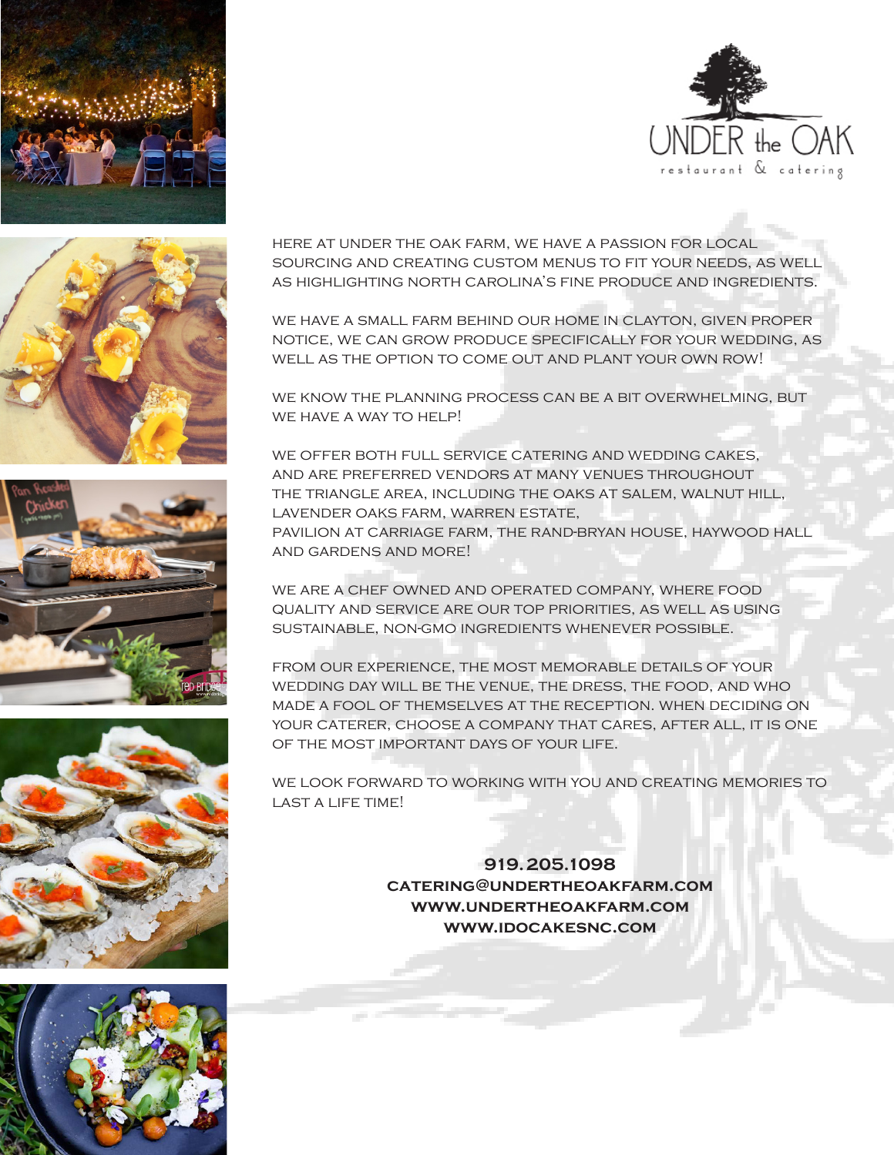









here at under the oak farm, we have a passion for local sourcing and creating custom menus to fit your needs, as well as highlighting north carolina's fine produce and ingredients.

we have a small farm behind our home in clayton, given proper notice, we can grow produce specifically for your wedding, as well as the option to come out and plant your own row!

we know the planning process can be a bit overwhelming, but WE HAVE A WAY TO HELP!

we offer both full service catering and wedding cakes, and are preferred vendors at many venues throughout the triangle area, including the oaks at salem, walnut hill, lavender oaks farm, warren estate, pavilion at carriage farm, the rand-bryan house, haywood hall and gardens and more!

we are a chef owned and operated company, where food quality and service are our top priorities, as well as using sustainable, non-gmo ingredients whenever possible.

from our experience, the most memorable details of your wedding day will be the venue, the dress, the food, and who made a fool of themselves at the reception. when deciding on your caterer, choose a company that cares, after all, it is one of the most important days of your life.

we look forward to working with you and creating memories to LAST A LIFE TIME!

> **919.205.1098 catering@undertheoakfarm.com www.undertheoakfarm.com www.idocakesnc.com**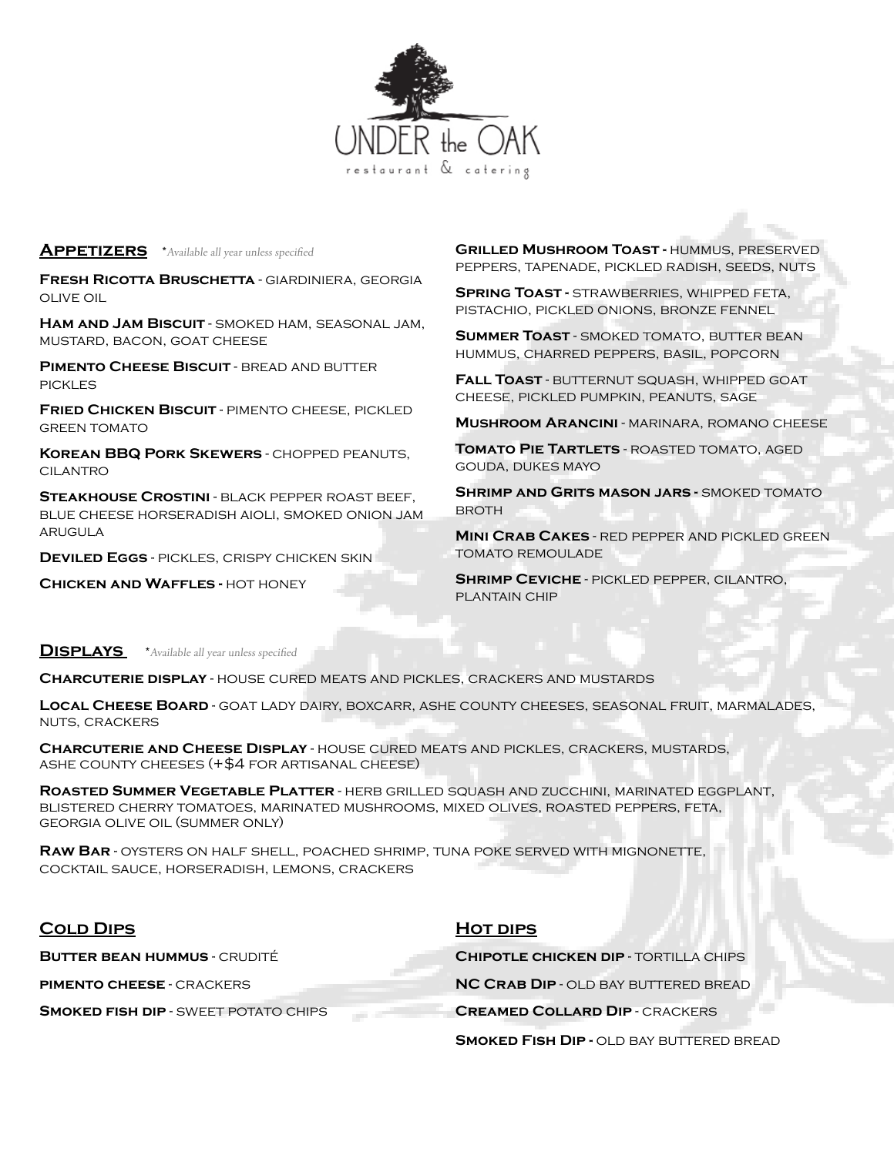

#### **APPETIZERS** \*Available all year unless specified

**Fresh Ricotta Bruschetta** - giardiniera, georgia olive oil

**Ham and Jam Biscuit** - smoked ham, seasonal jam, mustard, bacon, goat cheese

**PIMENTO CHEESE BISCUIT - BREAD AND BUTTER PICKLES** 

**Fried Chicken Biscuit** - pimento cheese, pickled **GREEN TOMATO** 

**Korean BBQ Pork Skewers** - chopped peanuts, **CILANTRO** 

**Steakhouse Crostini** - black pepper roast beef, blue cheese horseradish aioli, smoked onion jam arugula

**Deviled Eggs** - pickles, crispy chicken skin

**Chicken and Waffles -** hot honey

**Grilled Mushroom Toast -** hummus, preserved peppers, tapenade, pickled radish, seeds, nuts

**SPRING TOAST - STRAWBERRIES, WHIPPED FETA,** pistachio, pickled onions, bronze fennel

**SUMMER TOAST - SMOKED TOMATO, BUTTER BEAN** hummus, charred peppers, basil, popcorn

**Fall Toast** - butternut squash, whipped goat cheese, pickled pumpkin, peanuts, sage

**Mushroom Arancini** - marinara, romano cheese

**Tomato Pie Tartlets** - roasted tomato, aged gouda, dukes mayo

**SHRIMP AND GRITS MASON JARS - SMOKED TOMATO BROTH** 

**Mini Crab Cakes** - red pepper and pickled green tomato remoulade

**Shrimp Ceviche** - pickled pepper, cilantro, plantain chip

**DISPLAYS** \*Available all year unless specified

**Charcuterie display** - house cured meats and pickles, crackers and mustards

**Local Cheese Board** - goat lady dairy, boxcarr, ashe county cheeses, seasonal fruit, marmalades, nuts, crackers

**Charcuterie and Cheese Display** - house cured meats and pickles, crackers, mustards, ASHE COUNTY CHEESES  $(+$4$  FOR ARTISANAL CHEESE)

**Roasted Summer Vegetable Platter** - herb grilled squash and zucchini, marinated eggplant, blistered cherry tomatoes, marinated mushrooms, mixed olives, roasted peppers, feta, georgia olive oil (summer only)

**Raw Bar** - oysters on half shell, poached shrimp, tuna poke served with mignonette, cocktail sauce, horseradish, lemons, crackers

| <b>COLD DIPS</b>                            | <b>HOT DIPS</b>                                 |
|---------------------------------------------|-------------------------------------------------|
| <b>BUTTER BEAN HUMMUS - CRUDITÉ</b>         | <b>CHIPOTLE CHICKEN DIP - TORTILLA CHIPS</b>    |
| <b>PIMENTO CHEESE - CRACKERS</b>            | <b>NC CRAB DIP - OLD BAY BUTTERED BREAD</b>     |
| <b>SMOKED FISH DIP - SWEET POTATO CHIPS</b> | <b>CREAMED COLLARD DIP - CRACKERS</b>           |
|                                             | <b>SMOKED FISH DIP - OLD BAY BUTTERED BREAD</b> |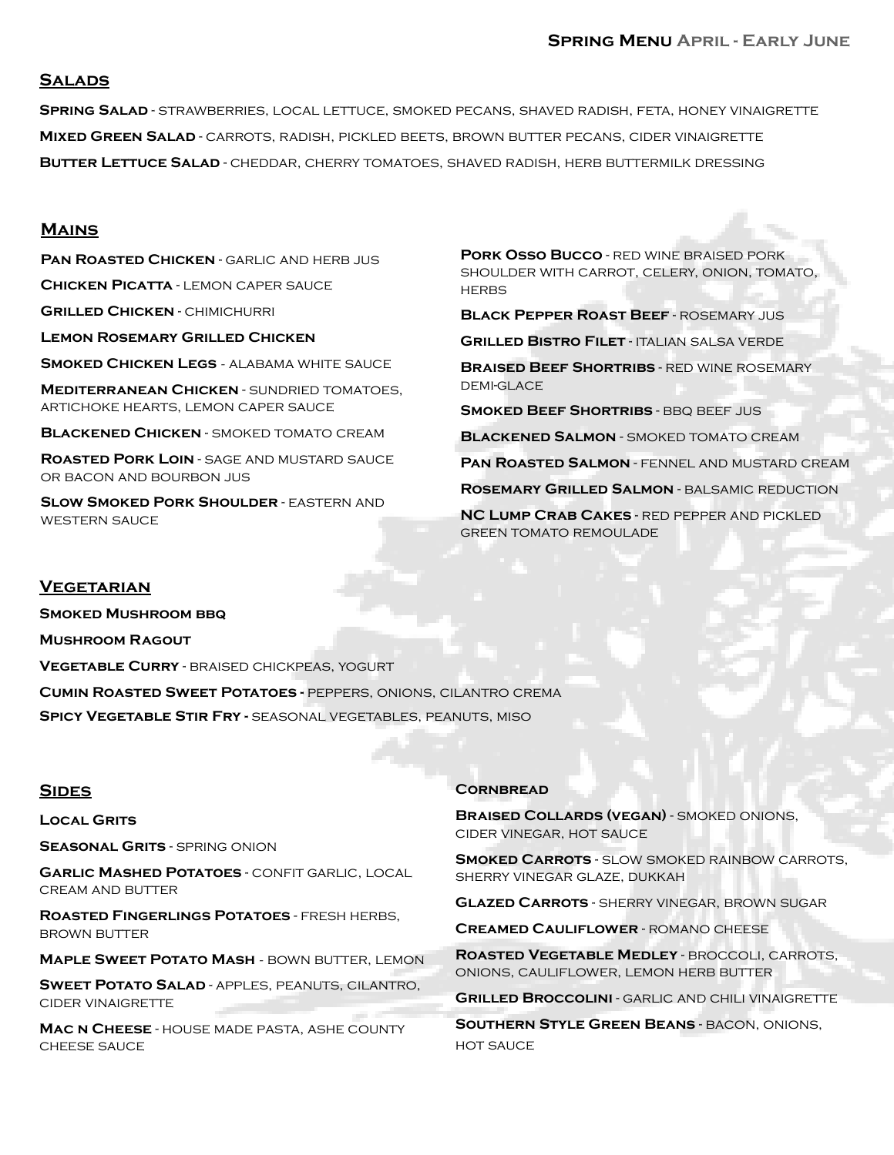### **Salads**

**Spring Salad** - strawberries, local lettuce, smoked pecans, shaved radish, feta, honey vinaigrette **Mixed Green Salad** - carrots, radish, pickled beets, brown butter pecans, cider vinaigrette **BUTTER LETTUCE SALAD** - CHEDDAR, CHERRY TOMATOES, SHAVED RADISH, HERB BUTTERMILK DRESSING

#### **Mains**

**PAN ROASTED CHICKEN** - GARLIC AND HERB JUS **Chicken Picatta** - lemon caper sauce

**Grilled Chicken** - chimichurri

**Lemon Rosemary Grilled Chicken**

**SMOKED CHICKEN LEGS - ALABAMA WHITE SAUCE** 

**Mediterranean Chicken** - sundried tomatoes, artichoke hearts, lemon caper sauce

**Blackened Chicken** - smoked tomato cream

**Roasted Pork Loin** - sage and mustard sauce or bacon and bourbon jus

**SLOW SMOKED PORK SHOULDER - EASTERN AND** western sauce

**Pork Osso Bucco** - red wine braised pork shoulder with carrot, celery, onion, tomato, **HERBS** 

**Black Pepper Roast Beef** - rosemary jus **Grilled Bistro Filet** - italian salsa verde

**Braised Beef Shortribs** - red wine rosemary DEMI-GLACE

**Smoked Beef Shortribs** - bbq beef jus

**Blackened Salmon** - smoked tomato cream

**Pan Roasted Salmon** - fennel and mustard cream

**Rosemary Grilled Salmon** - balsamic reduction

**NC Lump Crab Cakes** - red pepper and pickled GREEN TOMATO REMOUL ADE

#### **Vegetarian**

**Smoked Mushroom bbq Mushroom Ragout Vegetable Curry** - braised chickpeas, yogurt **Cumin Roasted Sweet Potatoes -** peppers, onions, cilantro crema **Spicy Vegetable Stir Fry -** seasonal vegetables, peanuts, miso

#### **Sides**

**Local Grits**

**Seasonal Grits** - spring onion

**Garlic Mashed Potatoes** - confit garlic, local cream and butter

**Roasted Fingerlings Potatoes** - fresh herbs, brown butter

**MAPLE SWEET POTATO MASH - BOWN BUTTER, LEMON** 

**Sweet Potato Salad** - apples, peanuts, cilantro, cider vinaigrette

**Mac n Cheese** - house made pasta, ashe county cheese sauce

#### **Cornbread**

**Braised Collards (vegan)** - smoked onions, cider vinegar, hot sauce

**Smoked Carrots** - slow smoked rainbow carrots, sherry vinegar glaze, dukkah

**Glazed Carrots** - sherry vinegar, brown sugar

**Creamed Cauliflower** - romano cheese

**Roasted Vegetable Medley** - broccoli, carrots, onions, cauliflower, lemon herb butter

**GRILLED BROCCOLINI - GARLIC AND CHILI VINAIGRETTE** 

**Southern Style Green Beans** - bacon, onions, **HOT SAUCE**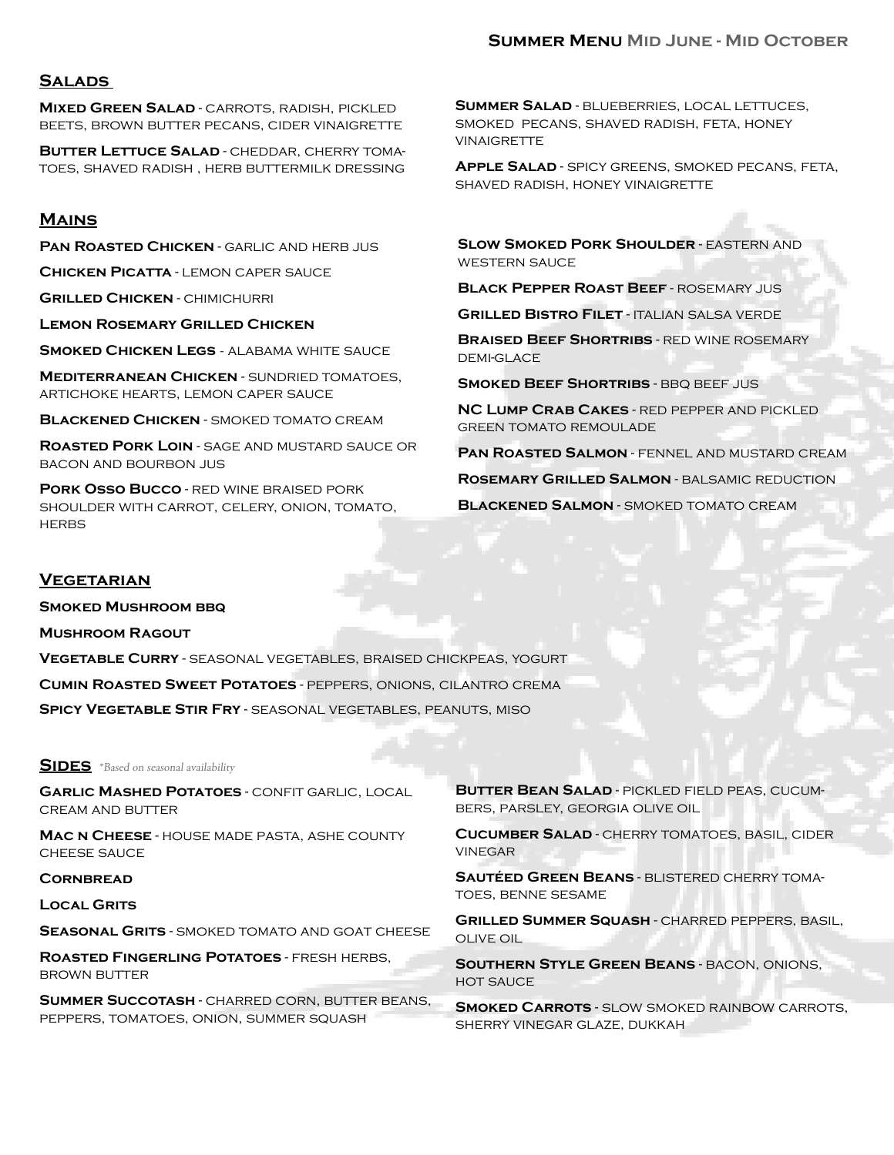### **Salads**

**Mixed Green Salad** - carrots, radish, pickled beets, brown butter pecans, cider vinaigrette

**Butter Lettuce Salad** - cheddar, cherry tomatoes, shaved radish , herb buttermilk dressing

### **Mains**

**PAN ROASTED CHICKEN** - GARLIC AND HERB JUS

**Chicken Picatta** - lemon caper sauce

**Grilled Chicken** - chimichurri

**Lemon Rosemary Grilled Chicken**

**SMOKED CHICKEN LEGS - ALABAMA WHITE SAUCE** 

**Mediterranean Chicken** - sundried tomatoes, artichoke hearts, lemon caper sauce

**Blackened Chicken** - smoked tomato cream

**Roasted Pork Loin** - sage and mustard sauce or bacon and bourbon jus

**Pork Osso Bucco** - red wine braised pork shoulder with carrot, celery, onion, tomato, **HERBS** 

**Summer Salad** - blueberries, local lettuces, smoked pecans, shaved radish, feta, honey **VINAIGRETTE** 

**Apple Salad** - spicy greens, smoked pecans, feta, shaved radish, honey vinaigrette

**SLOW SMOKED PORK SHOULDER - EASTERN AND** western sauce

**Black Pepper Roast Beef** - rosemary jus

**Grilled Bistro Filet** - italian salsa verde

**Braised Beef Shortribs** - red wine rosemary DEMI-GLACE

**SMOKED BEEF SHORTRIBS** - BBQ BEEF JUS

**NC Lump Crab Cakes** - red pepper and pickled green tomato remoulade

**PAN ROASTED SALMON - FENNEL AND MUSTARD CREAM** 

**Rosemary Grilled Salmon** - balsamic reduction

**Blackened Salmon** - smoked tomato cream

### **Vegetarian**

**Smoked Mushroom bbq**

**Mushroom Ragout**

**Vegetable Curry** - seasonal vegetables, braised chickpeas, yogurt

**Cumin Roasted Sweet Potatoes** - peppers, onions, cilantro crema

**Spicy Vegetable Stir Fry** - seasonal vegetables, peanuts, miso

**SIDES** \*Based on seasonal availability

**Garlic Mashed Potatoes** - confit garlic, local cream and butter

**Mac n Cheese** - house made pasta, ashe county cheese sauce

#### **CORNBREAD**

**Local Grits**

**SEASONAL GRITS - SMOKED TOMATO AND GOAT CHEESE** 

**Roasted Fingerling Potatoes** - fresh herbs, brown butter

**Summer Succotash** - charred corn, butter beans, peppers, tomatoes, onion, summer squash

**Butter Bean Salad** - pickled field peas, cucumbers, parsley, georgia olive oil

**Cucumber Salad** - cherry tomatoes, basil, cider vinegar

**Sautéed Green Beans** - blistered cherry tomatoes, benne sesame

**Grilled Summer Squash** - charred peppers, basil, olive oil

**Southern Style Green Beans** - bacon, onions, **HOT SAUCE** 

**Smoked Carrots** - slow smoked rainbow carrots, sherry vinegar glaze, dukkah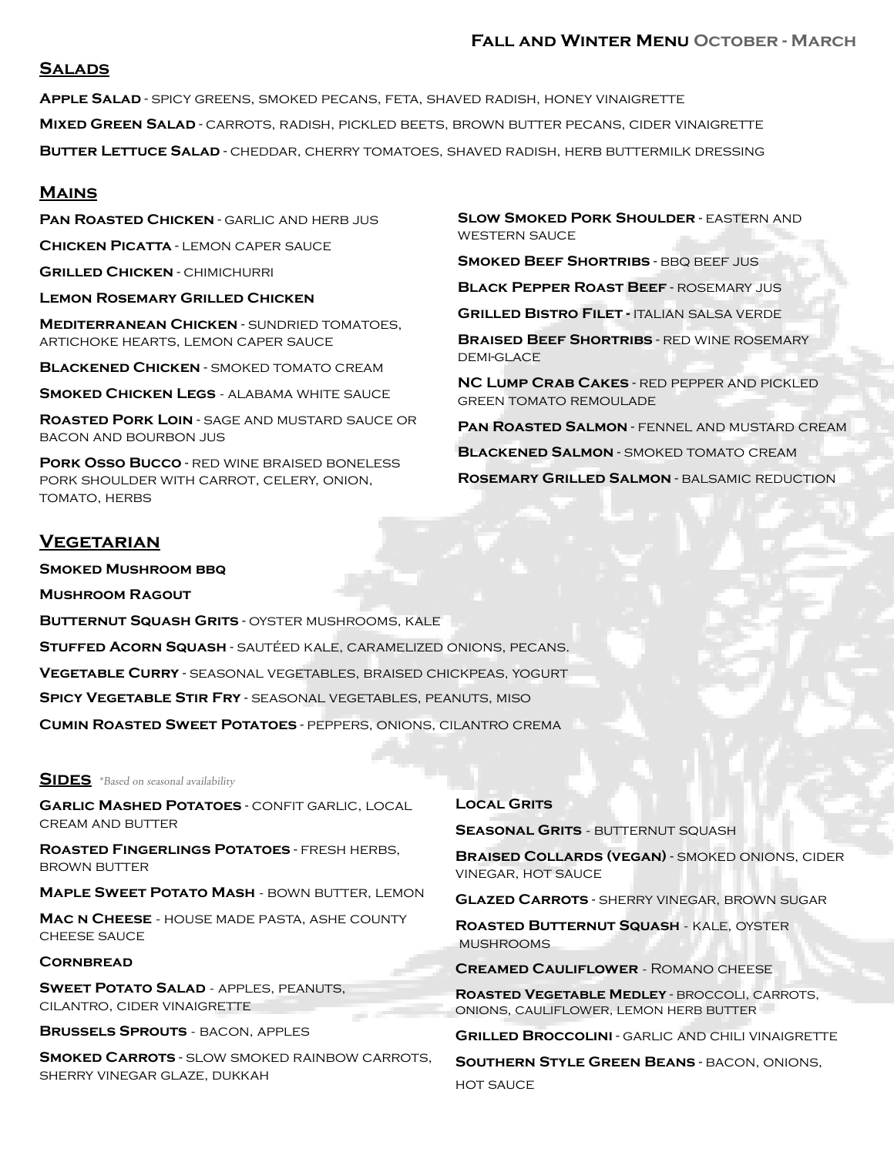### **Fall and Winter Menu October - March**

### **Salads**

**Apple Salad** - spicy greens, smoked pecans, feta, shaved radish, honey vinaigrette **Mixed Green Salad** - carrots, radish, pickled beets, brown butter pecans, cider vinaigrette **Butter Lettuce Salad** - cheddar, cherry tomatoes, shaved radish, herb buttermilk dressing

### **Mains**

**PAN ROASTED CHICKEN** - GARLIC AND HERB JUS

**Chicken Picatta** - lemon caper sauce

**Grilled Chicken** - chimichurri

**Lemon Rosemary Grilled Chicken**

**Mediterranean Chicken** - sundried tomatoes, artichoke hearts, lemon caper sauce

**Blackened Chicken** - smoked tomato cream

**SMOKED CHICKEN LEGS - ALABAMA WHITE SAUCE** 

**Roasted Pork Loin** - sage and mustard sauce or bacon and bourbon jus

**Pork Osso Bucco** - red wine braised boneless pork shoulder with carrot, celery, onion, TOMATO, HERBS

### **Vegetarian**

**Smoked Mushroom bbq** 

**Mushroom Ragout** 

**Butternut Squash Grits** - oyster mushrooms, kale **Stuffed Acorn Squash** - sautéed kale, caramelized onions, pecans. **Vegetable Curry** - seasonal vegetables, braised chickpeas, yogurt **Spicy Vegetable Stir Fry** - seasonal vegetables, peanuts, miso **Cumin Roasted Sweet Potatoes** - peppers, onions, cilantro crema

### **SIDES** \*Based on seasonal availability

**Garlic Mashed Potatoes** - confit garlic, local cream and butter

**Roasted Fingerlings Potatoes** - fresh herbs, brown butter

**MAPLE SWEET POTATO MASH - BOWN BUTTER, LEMON** 

**Mac n Cheese** - house made pasta, ashe county cheese sauce

#### **Cornbread**

**SWEET POTATO SALAD - APPLES, PEANUTS,** cilantro, cider vinaigrette

**Brussels Sprouts** - bacon, apples

**Smoked Carrots** - slow smoked rainbow carrots, sherry vinegar glaze, dukkah

#### **Local Grits**

**Seasonal Grits** - butternut squash

**Braised Collards (vegan)** - smoked onions, cider vinegar, hot sauce

**Glazed Carrots** - sherry vinegar, brown sugar

**Roasted Butternut Squash** - kale, oyster mushrooms

**Creamed Cauliflower** - Romano cheese

**Roasted Vegetable Medley** - broccoli, carrots, onions, cauliflower, lemon herb butter

**GRILLED BROCCOLINI - GARLIC AND CHILI VINAIGRETTE** 

**Southern Style Green Beans** - bacon, onions, hot sauce

**SLOW SMOKED PORK SHOULDER - EASTERN AND** western sauce

**SMOKED BEEF SHORTRIBS - BBQ BEEF JUS** 

**Black Pepper Roast Beef** - rosemary jus

**Grilled Bistro Filet -** italian salsa verde

**Braised Beef Shortribs** - red wine rosemary DEMI-GLACE

**NC Lump Crab Cakes** - red pepper and pickled green tomato remoulade

**Pan Roasted Salmon** - fennel and mustard cream **Blackened Salmon** - smoked tomato cream **Rosemary Grilled Salmon** - balsamic reduction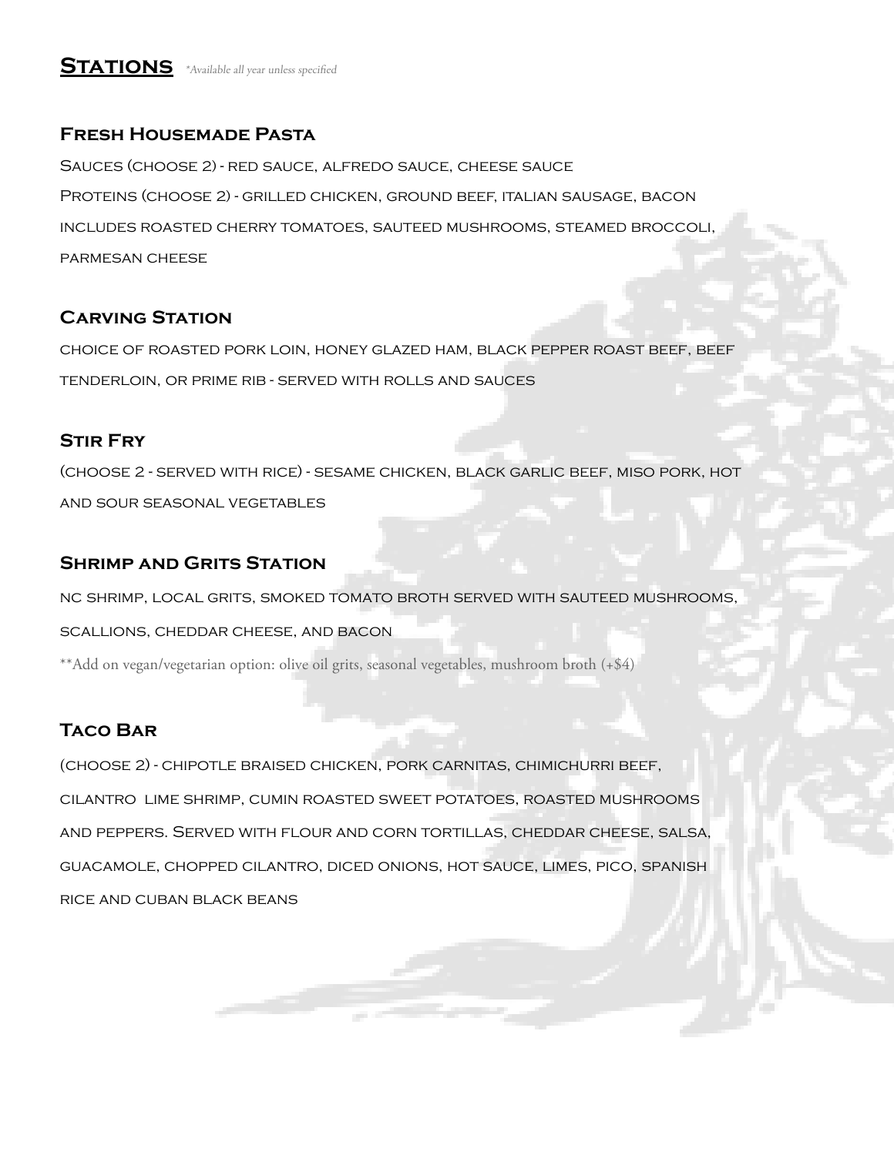# **STATIONS** \*Available all year unless specified

## **Fresh Housemade Pasta**

Sauces (choose 2) - red sauce, alfredo sauce, cheese sauce Proteins (choose 2) - grilled chicken, ground beef, italian sausage, bacon includes roasted cherry tomatoes, sauteed mushrooms, steamed broccoli, parmesan cheese

## **Carving Station**

choice of roasted pork loin, honey glazed ham, black pepper roast beef, beef tenderloin, or prime rib - served with rolls and sauces

### **Stir Fry**

(choose 2 - served with rice) - sesame chicken, black garlic beef, miso pork, hot and sour seasonal vegetables

## **Shrimp and Grits Station**

nc shrimp, local grits, smoked tomato broth served with sauteed mushrooms,

scallions, cheddar cheese, and bacon

\*\*Add on vegan/vegetarian option: olive oil grits, seasonal vegetables, mushroom broth (+\$4)

## **Taco Bar**

(choose 2) - chipotle braised chicken, pork carnitas, chimichurri beef, cilantro lime shrimp, cumin roasted sweet potatoes, roasted mushrooms and peppers. Served with flour and corn tortillas, cheddar cheese, salsa, guacamole, chopped cilantro, diced onions, hot sauce, limes, pico, spanish rice and cuban black beans